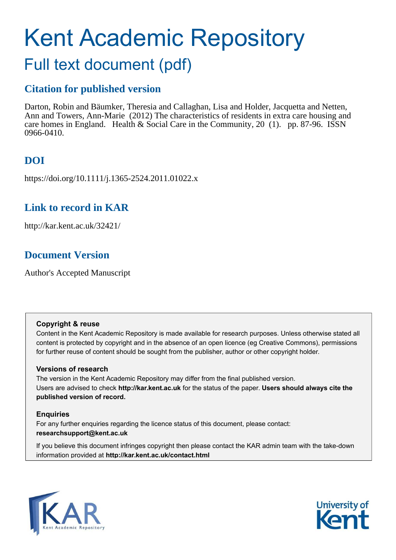# Kent Academic Repository

## Full text document (pdf)

## **Citation for published version**

Darton, Robin and Bäumker, Theresia and Callaghan, Lisa and Holder, Jacquetta and Netten, Ann and Towers, Ann-Marie (2012) The characteristics of residents in extra care housing and care homes in England. Health & Social Care in the Community, 20 (1). pp. 87-96. ISSN 0966-0410.

## **DOI**

https://doi.org/10.1111/j.1365-2524.2011.01022.x

## **Link to record in KAR**

http://kar.kent.ac.uk/32421/

## **Document Version**

Author's Accepted Manuscript

#### **Copyright & reuse**

Content in the Kent Academic Repository is made available for research purposes. Unless otherwise stated all content is protected by copyright and in the absence of an open licence (eg Creative Commons), permissions for further reuse of content should be sought from the publisher, author or other copyright holder.

#### **Versions of research**

The version in the Kent Academic Repository may differ from the final published version. Users are advised to check **http://kar.kent.ac.uk** for the status of the paper. **Users should always cite the published version of record.**

#### **Enquiries**

For any further enquiries regarding the licence status of this document, please contact: **researchsupport@kent.ac.uk**

If you believe this document infringes copyright then please contact the KAR admin team with the take-down information provided at **http://kar.kent.ac.uk/contact.html**



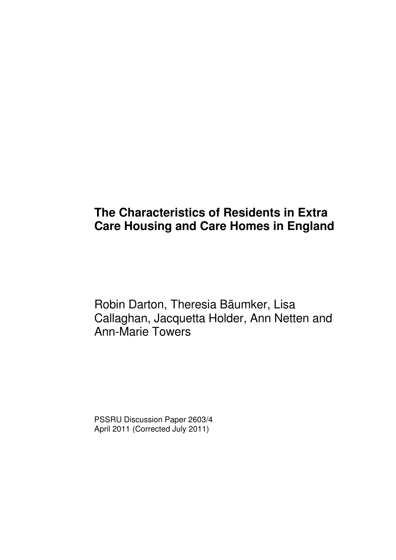## **The Characteristics of Residents in Extra Care Housing and Care Homes in England**

Robin Darton, Theresia Bäumker, Lisa Callaghan, Jacquetta Holder, Ann Netten and Ann-Marie Towers

PSSRU Discussion Paper 2603/4 April 2011 (Corrected July 2011)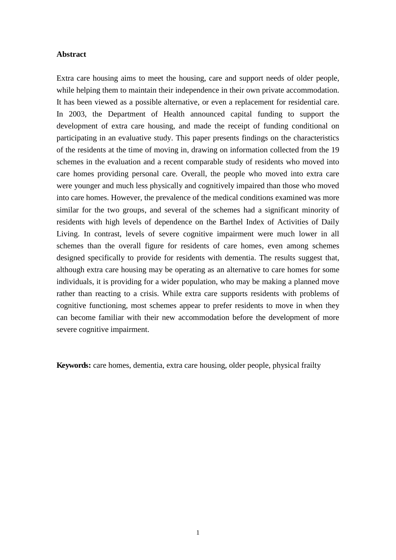#### **Abstract**

Extra care housing aims to meet the housing, care and support needs of older people, while helping them to maintain their independence in their own private accommodation. It has been viewed as a possible alternative, or even a replacement for residential care. In 2003, the Department of Health announced capital funding to support the development of extra care housing, and made the receipt of funding conditional on participating in an evaluative study. This paper presents findings on the characteristics of the residents at the time of moving in, drawing on information collected from the 19 schemes in the evaluation and a recent comparable study of residents who moved into care homes providing personal care. Overall, the people who moved into extra care were younger and much less physically and cognitively impaired than those who moved into care homes. However, the prevalence of the medical conditions examined was more similar for the two groups, and several of the schemes had a significant minority of residents with high levels of dependence on the Barthel Index of Activities of Daily Living. In contrast, levels of severe cognitive impairment were much lower in all schemes than the overall figure for residents of care homes, even among schemes designed specifically to provide for residents with dementia. The results suggest that, although extra care housing may be operating as an alternative to care homes for some individuals, it is providing for a wider population, who may be making a planned move rather than reacting to a crisis. While extra care supports residents with problems of cognitive functioning, most schemes appear to prefer residents to move in when they can become familiar with their new accommodation before the development of more severe cognitive impairment.

**Keywords:** care homes, dementia, extra care housing, older people, physical frailty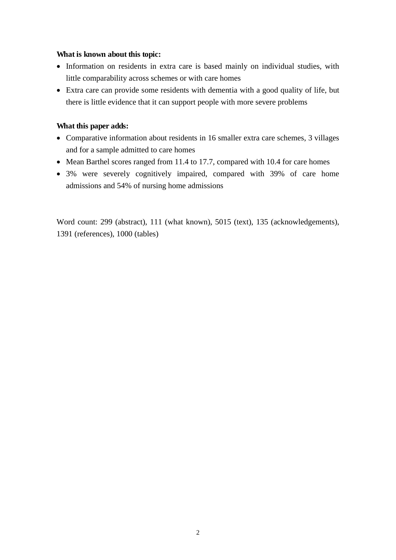#### **What is known about this topic:**

- Information on residents in extra care is based mainly on individual studies, with little comparability across schemes or with care homes
- Extra care can provide some residents with dementia with a good quality of life, but there is little evidence that it can support people with more severe problems

#### **What this paper adds:**

- Comparative information about residents in 16 smaller extra care schemes, 3 villages and for a sample admitted to care homes
- Mean Barthel scores ranged from 11.4 to 17.7, compared with 10.4 for care homes
- 3% were severely cognitively impaired, compared with 39% of care home admissions and 54% of nursing home admissions

Word count: 299 (abstract), 111 (what known), 5015 (text), 135 (acknowledgements), 1391 (references), 1000 (tables)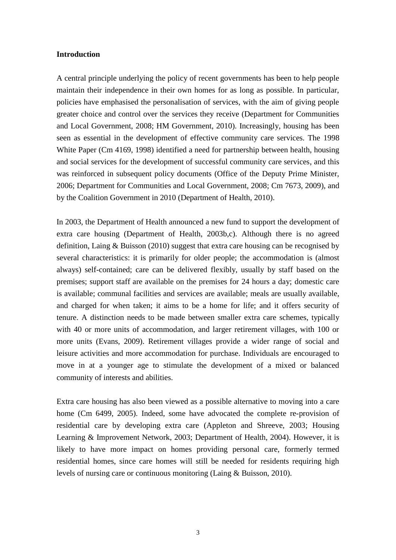#### **Introduction**

A central principle underlying the policy of recent governments has been to help people maintain their independence in their own homes for as long as possible. In particular, policies have emphasised the personalisation of services, with the aim of giving people greater choice and control over the services they receive (Department for Communities and Local Government, 2008; HM Government, 2010). Increasingly, housing has been seen as essential in the development of effective community care services. The 1998 White Paper (Cm 4169, 1998) identified a need for partnership between health, housing and social services for the development of successful community care services, and this was reinforced in subsequent policy documents (Office of the Deputy Prime Minister, 2006; Department for Communities and Local Government, 2008; Cm 7673, 2009), and by the Coalition Government in 2010 (Department of Health, 2010).

In 2003, the Department of Health announced a new fund to support the development of extra care housing (Department of Health, 2003b,c). Although there is no agreed definition, Laing & Buisson (2010) suggest that extra care housing can be recognised by several characteristics: it is primarily for older people; the accommodation is (almost always) self-contained; care can be delivered flexibly, usually by staff based on the premises; support staff are available on the premises for 24 hours a day; domestic care is available; communal facilities and services are available; meals are usually available, and charged for when taken; it aims to be a home for life; and it offers security of tenure. A distinction needs to be made between smaller extra care schemes, typically with 40 or more units of accommodation, and larger retirement villages, with 100 or more units (Evans, 2009). Retirement villages provide a wider range of social and leisure activities and more accommodation for purchase. Individuals are encouraged to move in at a younger age to stimulate the development of a mixed or balanced community of interests and abilities.

Extra care housing has also been viewed as a possible alternative to moving into a care home (Cm 6499, 2005). Indeed, some have advocated the complete re-provision of residential care by developing extra care (Appleton and Shreeve, 2003; Housing Learning & Improvement Network, 2003; Department of Health, 2004). However, it is likely to have more impact on homes providing personal care, formerly termed residential homes, since care homes will still be needed for residents requiring high levels of nursing care or continuous monitoring (Laing & Buisson, 2010).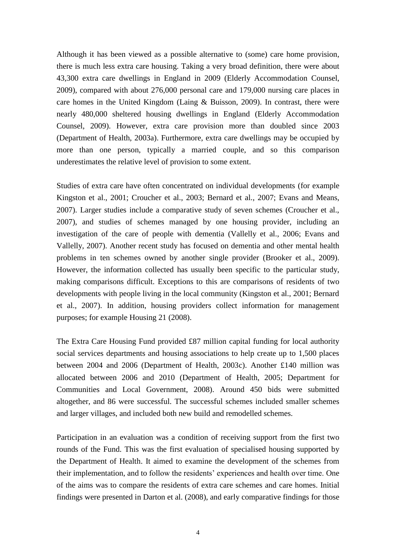Although it has been viewed as a possible alternative to (some) care home provision, there is much less extra care housing. Taking a very broad definition, there were about 43,300 extra care dwellings in England in 2009 (Elderly Accommodation Counsel, 2009), compared with about 276,000 personal care and 179,000 nursing care places in care homes in the United Kingdom (Laing & Buisson, 2009). In contrast, there were nearly 480,000 sheltered housing dwellings in England (Elderly Accommodation Counsel, 2009). However, extra care provision more than doubled since 2003 (Department of Health, 2003a). Furthermore, extra care dwellings may be occupied by more than one person, typically a married couple, and so this comparison underestimates the relative level of provision to some extent.

Studies of extra care have often concentrated on individual developments (for example Kingston et al., 2001; Croucher et al., 2003; Bernard et al., 2007; Evans and Means, 2007). Larger studies include a comparative study of seven schemes (Croucher et al., 2007), and studies of schemes managed by one housing provider, including an investigation of the care of people with dementia (Vallelly et al., 2006; Evans and Vallelly, 2007). Another recent study has focused on dementia and other mental health problems in ten schemes owned by another single provider (Brooker et al., 2009). However, the information collected has usually been specific to the particular study, making comparisons difficult. Exceptions to this are comparisons of residents of two developments with people living in the local community (Kingston et al., 2001; Bernard et al., 2007). In addition, housing providers collect information for management purposes; for example Housing 21 (2008).

The Extra Care Housing Fund provided £87 million capital funding for local authority social services departments and housing associations to help create up to 1,500 places between 2004 and 2006 (Department of Health, 2003c). Another £140 million was allocated between 2006 and 2010 (Department of Health, 2005; Department for Communities and Local Government, 2008). Around 450 bids were submitted altogether, and 86 were successful. The successful schemes included smaller schemes and larger villages, and included both new build and remodelled schemes.

Participation in an evaluation was a condition of receiving support from the first two rounds of the Fund. This was the first evaluation of specialised housing supported by the Department of Health. It aimed to examine the development of the schemes from their implementation, and to follow the residents' experiences and health over time. One of the aims was to compare the residents of extra care schemes and care homes. Initial findings were presented in Darton et al. (2008), and early comparative findings for those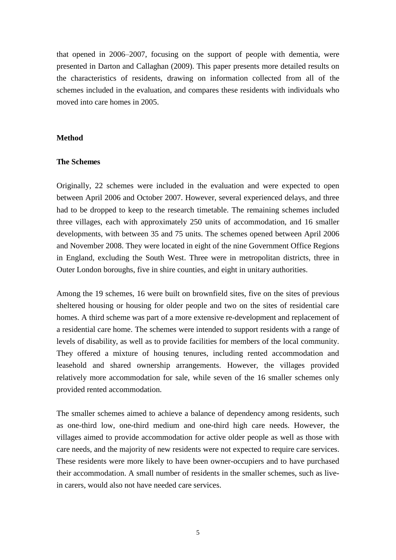that opened in 2006–2007, focusing on the support of people with dementia, were presented in Darton and Callaghan (2009). This paper presents more detailed results on the characteristics of residents, drawing on information collected from all of the schemes included in the evaluation, and compares these residents with individuals who moved into care homes in 2005.

#### **Method**

#### **The Schemes**

Originally, 22 schemes were included in the evaluation and were expected to open between April 2006 and October 2007. However, several experienced delays, and three had to be dropped to keep to the research timetable. The remaining schemes included three villages, each with approximately 250 units of accommodation, and 16 smaller developments, with between 35 and 75 units. The schemes opened between April 2006 and November 2008. They were located in eight of the nine Government Office Regions in England, excluding the South West. Three were in metropolitan districts, three in Outer London boroughs, five in shire counties, and eight in unitary authorities.

Among the 19 schemes, 16 were built on brownfield sites, five on the sites of previous sheltered housing or housing for older people and two on the sites of residential care homes. A third scheme was part of a more extensive re-development and replacement of a residential care home. The schemes were intended to support residents with a range of levels of disability, as well as to provide facilities for members of the local community. They offered a mixture of housing tenures, including rented accommodation and leasehold and shared ownership arrangements. However, the villages provided relatively more accommodation for sale, while seven of the 16 smaller schemes only provided rented accommodation.

The smaller schemes aimed to achieve a balance of dependency among residents, such as one-third low, one-third medium and one-third high care needs. However, the villages aimed to provide accommodation for active older people as well as those with care needs, and the majority of new residents were not expected to require care services. These residents were more likely to have been owner-occupiers and to have purchased their accommodation. A small number of residents in the smaller schemes, such as livein carers, would also not have needed care services.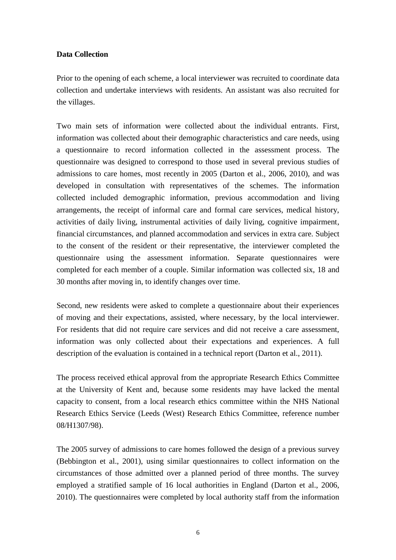#### **Data Collection**

Prior to the opening of each scheme, a local interviewer was recruited to coordinate data collection and undertake interviews with residents. An assistant was also recruited for the villages.

Two main sets of information were collected about the individual entrants. First, information was collected about their demographic characteristics and care needs, using a questionnaire to record information collected in the assessment process. The questionnaire was designed to correspond to those used in several previous studies of admissions to care homes, most recently in 2005 (Darton et al., 2006, 2010), and was developed in consultation with representatives of the schemes. The information collected included demographic information, previous accommodation and living arrangements, the receipt of informal care and formal care services, medical history, activities of daily living, instrumental activities of daily living, cognitive impairment, financial circumstances, and planned accommodation and services in extra care. Subject to the consent of the resident or their representative, the interviewer completed the questionnaire using the assessment information. Separate questionnaires were completed for each member of a couple. Similar information was collected six, 18 and 30 months after moving in, to identify changes over time.

Second, new residents were asked to complete a questionnaire about their experiences of moving and their expectations, assisted, where necessary, by the local interviewer. For residents that did not require care services and did not receive a care assessment, information was only collected about their expectations and experiences. A full description of the evaluation is contained in a technical report (Darton et al., 2011).

The process received ethical approval from the appropriate Research Ethics Committee at the University of Kent and, because some residents may have lacked the mental capacity to consent, from a local research ethics committee within the NHS National Research Ethics Service (Leeds (West) Research Ethics Committee, reference number 08/H1307/98).

The 2005 survey of admissions to care homes followed the design of a previous survey (Bebbington et al., 2001), using similar questionnaires to collect information on the circumstances of those admitted over a planned period of three months. The survey employed a stratified sample of 16 local authorities in England (Darton et al., 2006, 2010). The questionnaires were completed by local authority staff from the information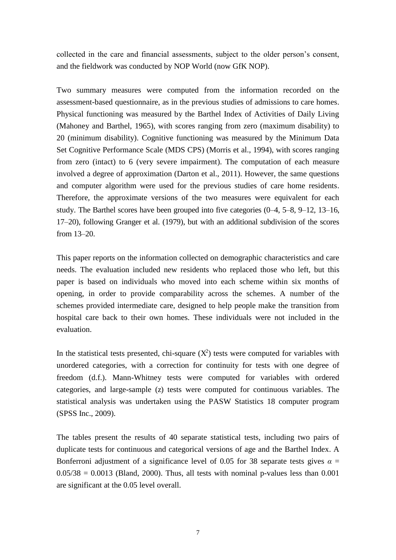collected in the care and financial assessments, subject to the older person's consent, and the fieldwork was conducted by NOP World (now GfK NOP).

Two summary measures were computed from the information recorded on the assessment-based questionnaire, as in the previous studies of admissions to care homes. Physical functioning was measured by the Barthel Index of Activities of Daily Living (Mahoney and Barthel, 1965), with scores ranging from zero (maximum disability) to 20 (minimum disability). Cognitive functioning was measured by the Minimum Data Set Cognitive Performance Scale (MDS CPS) (Morris et al., 1994), with scores ranging from zero (intact) to 6 (very severe impairment). The computation of each measure involved a degree of approximation (Darton et al., 2011). However, the same questions and computer algorithm were used for the previous studies of care home residents. Therefore, the approximate versions of the two measures were equivalent for each study. The Barthel scores have been grouped into five categories (0–4, 5–8, 9–12, 13–16, 17–20), following Granger et al. (1979), but with an additional subdivision of the scores from 13–20.

This paper reports on the information collected on demographic characteristics and care needs. The evaluation included new residents who replaced those who left, but this paper is based on individuals who moved into each scheme within six months of opening, in order to provide comparability across the schemes. A number of the schemes provided intermediate care, designed to help people make the transition from hospital care back to their own homes. These individuals were not included in the evaluation.

In the statistical tests presented, chi-square  $(X^2)$  tests were computed for variables with unordered categories, with a correction for continuity for tests with one degree of freedom (d.f.). Mann-Whitney tests were computed for variables with ordered categories, and large-sample (z) tests were computed for continuous variables. The statistical analysis was undertaken using the PASW Statistics 18 computer program (SPSS Inc., 2009).

The tables present the results of 40 separate statistical tests, including two pairs of duplicate tests for continuous and categorical versions of age and the Barthel Index. A Bonferroni adjustment of a significance level of 0.05 for 38 separate tests gives  $\alpha$  =  $0.05/38 = 0.0013$  (Bland, 2000). Thus, all tests with nominal p-values less than 0.001 are significant at the 0.05 level overall.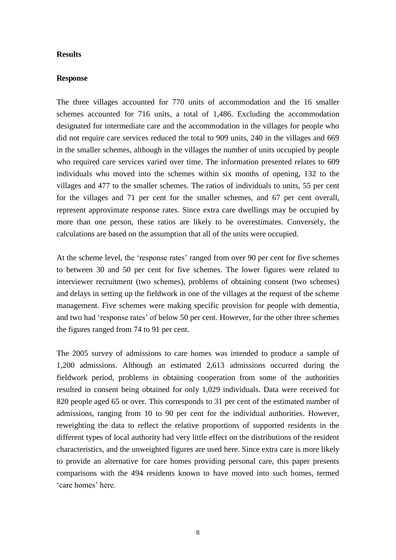#### **Results**

#### **Response**

The three villages accounted for 770 units of accommodation and the 16 smaller schemes accounted for 716 units, a total of 1,486. Excluding the accommodation designated for intermediate care and the accommodation in the villages for people who did not require care services reduced the total to 909 units, 240 in the villages and 669 in the smaller schemes, although in the villages the number of units occupied by people who required care services varied over time. The information presented relates to 609 individuals who moved into the schemes within six months of opening, 132 to the villages and 477 to the smaller schemes. The ratios of individuals to units, 55 per cent for the villages and 71 per cent for the smaller schemes, and 67 per cent overall, represent approximate response rates. Since extra care dwellings may be occupied by more than one person, these ratios are likely to be overestimates. Conversely, the calculations are based on the assumption that all of the units were occupied.

At the scheme level, the 'response rates' ranged from over 90 per cent for five schemes to between 30 and 50 per cent for five schemes. The lower figures were related to interviewer recruitment (two schemes), problems of obtaining consent (two schemes) and delays in setting up the fieldwork in one of the villages at the request of the scheme management. Five schemes were making specific provision for people with dementia, and two had 'response rates' of below 50 per cent. However, for the other three schemes the figures ranged from 74 to 91 per cent.

The 2005 survey of admissions to care homes was intended to produce a sample of 1,200 admissions. Although an estimated 2,613 admissions occurred during the fieldwork period, problems in obtaining cooperation from some of the authorities resulted in consent being obtained for only 1,029 individuals. Data were received for 820 people aged 65 or over. This corresponds to 31 per cent of the estimated number of admissions, ranging from 10 to 90 per cent for the individual authorities. However, reweighting the data to reflect the relative proportions of supported residents in the different types of local authority had very little effect on the distributions of the resident characteristics, and the unweighted figures are used here. Since extra care is more likely to provide an alternative for care homes providing personal care, this paper presents comparisons with the 494 residents known to have moved into such homes, termed 'care homes' here.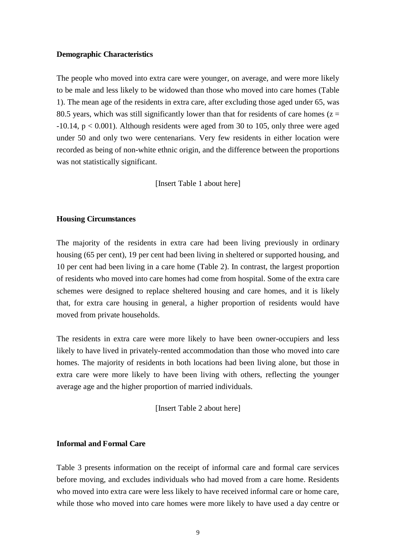#### **Demographic Characteristics**

The people who moved into extra care were younger, on average, and were more likely to be male and less likely to be widowed than those who moved into care homes (Table 1). The mean age of the residents in extra care, after excluding those aged under 65, was 80.5 years, which was still significantly lower than that for residents of care homes ( $z =$  $-10.14$ ,  $p < 0.001$ ). Although residents were aged from 30 to 105, only three were aged under 50 and only two were centenarians. Very few residents in either location were recorded as being of non-white ethnic origin, and the difference between the proportions was not statistically significant.

[Insert Table 1 about here]

#### **Housing Circumstances**

The majority of the residents in extra care had been living previously in ordinary housing (65 per cent), 19 per cent had been living in sheltered or supported housing, and 10 per cent had been living in a care home (Table 2). In contrast, the largest proportion of residents who moved into care homes had come from hospital. Some of the extra care schemes were designed to replace sheltered housing and care homes, and it is likely that, for extra care housing in general, a higher proportion of residents would have moved from private households.

The residents in extra care were more likely to have been owner-occupiers and less likely to have lived in privately-rented accommodation than those who moved into care homes. The majority of residents in both locations had been living alone, but those in extra care were more likely to have been living with others, reflecting the younger average age and the higher proportion of married individuals.

[Insert Table 2 about here]

#### **Informal and Formal Care**

Table 3 presents information on the receipt of informal care and formal care services before moving, and excludes individuals who had moved from a care home. Residents who moved into extra care were less likely to have received informal care or home care, while those who moved into care homes were more likely to have used a day centre or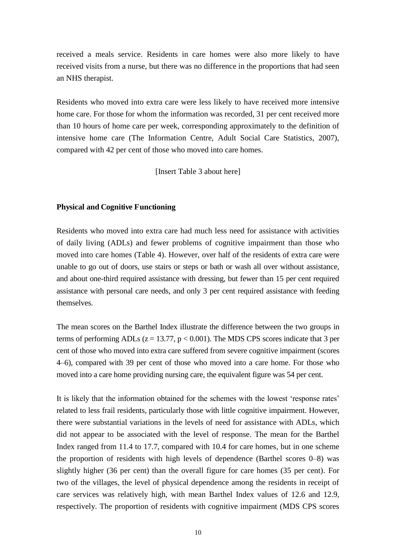received a meals service. Residents in care homes were also more likely to have received visits from a nurse, but there was no difference in the proportions that had seen an NHS therapist.

Residents who moved into extra care were less likely to have received more intensive home care. For those for whom the information was recorded, 31 per cent received more than 10 hours of home care per week, corresponding approximately to the definition of intensive home care (The Information Centre, Adult Social Care Statistics, 2007), compared with 42 per cent of those who moved into care homes.

[Insert Table 3 about here]

#### **Physical and Cognitive Functioning**

Residents who moved into extra care had much less need for assistance with activities of daily living (ADLs) and fewer problems of cognitive impairment than those who moved into care homes (Table 4). However, over half of the residents of extra care were unable to go out of doors, use stairs or steps or bath or wash all over without assistance, and about one-third required assistance with dressing, but fewer than 15 per cent required assistance with personal care needs, and only 3 per cent required assistance with feeding themselves.

The mean scores on the Barthel Index illustrate the difference between the two groups in terms of performing ADLs ( $z = 13.77$ ,  $p < 0.001$ ). The MDS CPS scores indicate that 3 per cent of those who moved into extra care suffered from severe cognitive impairment (scores 4–6), compared with 39 per cent of those who moved into a care home. For those who moved into a care home providing nursing care, the equivalent figure was 54 per cent.

It is likely that the information obtained for the schemes with the lowest 'response rates' related to less frail residents, particularly those with little cognitive impairment. However, there were substantial variations in the levels of need for assistance with ADLs, which did not appear to be associated with the level of response. The mean for the Barthel Index ranged from 11.4 to 17.7, compared with 10.4 for care homes, but in one scheme the proportion of residents with high levels of dependence (Barthel scores 0–8) was slightly higher (36 per cent) than the overall figure for care homes (35 per cent). For two of the villages, the level of physical dependence among the residents in receipt of care services was relatively high, with mean Barthel Index values of 12.6 and 12.9, respectively. The proportion of residents with cognitive impairment (MDS CPS scores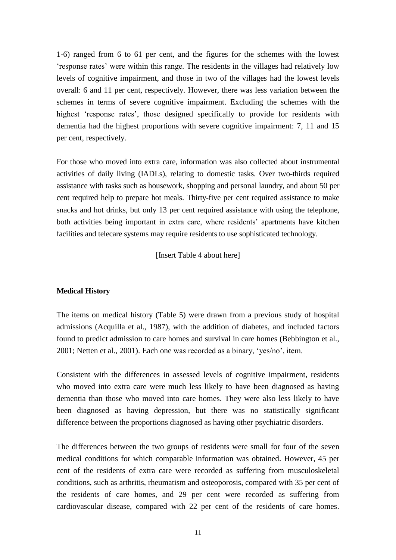1-6) ranged from 6 to 61 per cent, and the figures for the schemes with the lowest 'response rates' were within this range. The residents in the villages had relatively low levels of cognitive impairment, and those in two of the villages had the lowest levels overall: 6 and 11 per cent, respectively. However, there was less variation between the schemes in terms of severe cognitive impairment. Excluding the schemes with the highest 'response rates', those designed specifically to provide for residents with dementia had the highest proportions with severe cognitive impairment: 7, 11 and 15 per cent, respectively.

For those who moved into extra care, information was also collected about instrumental activities of daily living (IADLs), relating to domestic tasks. Over two-thirds required assistance with tasks such as housework, shopping and personal laundry, and about 50 per cent required help to prepare hot meals. Thirty-five per cent required assistance to make snacks and hot drinks, but only 13 per cent required assistance with using the telephone, both activities being important in extra care, where residents' apartments have kitchen facilities and telecare systems may require residents to use sophisticated technology.

[Insert Table 4 about here]

#### **Medical History**

The items on medical history (Table 5) were drawn from a previous study of hospital admissions (Acquilla et al., 1987), with the addition of diabetes, and included factors found to predict admission to care homes and survival in care homes (Bebbington et al., 2001; Netten et al., 2001). Each one was recorded as a binary, 'yes/no', item.

Consistent with the differences in assessed levels of cognitive impairment, residents who moved into extra care were much less likely to have been diagnosed as having dementia than those who moved into care homes. They were also less likely to have been diagnosed as having depression, but there was no statistically significant difference between the proportions diagnosed as having other psychiatric disorders.

The differences between the two groups of residents were small for four of the seven medical conditions for which comparable information was obtained. However, 45 per cent of the residents of extra care were recorded as suffering from musculoskeletal conditions, such as arthritis, rheumatism and osteoporosis, compared with 35 per cent of the residents of care homes, and 29 per cent were recorded as suffering from cardiovascular disease, compared with 22 per cent of the residents of care homes.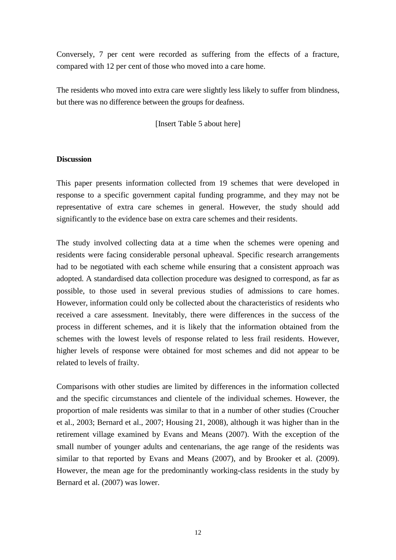Conversely, 7 per cent were recorded as suffering from the effects of a fracture, compared with 12 per cent of those who moved into a care home.

The residents who moved into extra care were slightly less likely to suffer from blindness, but there was no difference between the groups for deafness.

[Insert Table 5 about here]

#### **Discussion**

This paper presents information collected from 19 schemes that were developed in response to a specific government capital funding programme, and they may not be representative of extra care schemes in general. However, the study should add significantly to the evidence base on extra care schemes and their residents.

The study involved collecting data at a time when the schemes were opening and residents were facing considerable personal upheaval. Specific research arrangements had to be negotiated with each scheme while ensuring that a consistent approach was adopted. A standardised data collection procedure was designed to correspond, as far as possible, to those used in several previous studies of admissions to care homes. However, information could only be collected about the characteristics of residents who received a care assessment. Inevitably, there were differences in the success of the process in different schemes, and it is likely that the information obtained from the schemes with the lowest levels of response related to less frail residents. However, higher levels of response were obtained for most schemes and did not appear to be related to levels of frailty.

Comparisons with other studies are limited by differences in the information collected and the specific circumstances and clientele of the individual schemes. However, the proportion of male residents was similar to that in a number of other studies (Croucher et al., 2003; Bernard et al., 2007; Housing 21, 2008), although it was higher than in the retirement village examined by Evans and Means (2007). With the exception of the small number of younger adults and centenarians, the age range of the residents was similar to that reported by Evans and Means (2007), and by Brooker et al. (2009). However, the mean age for the predominantly working-class residents in the study by Bernard et al. (2007) was lower.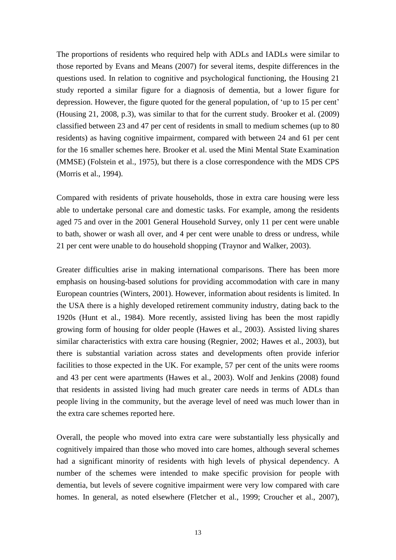The proportions of residents who required help with ADLs and IADLs were similar to those reported by Evans and Means (2007) for several items, despite differences in the questions used. In relation to cognitive and psychological functioning, the Housing 21 study reported a similar figure for a diagnosis of dementia, but a lower figure for depression. However, the figure quoted for the general population, of 'up to 15 per cent' (Housing 21, 2008, p.3), was similar to that for the current study. Brooker et al. (2009) classified between 23 and 47 per cent of residents in small to medium schemes (up to 80 residents) as having cognitive impairment, compared with between 24 and 61 per cent for the 16 smaller schemes here. Brooker et al. used the Mini Mental State Examination (MMSE) (Folstein et al., 1975), but there is a close correspondence with the MDS CPS (Morris et al., 1994).

Compared with residents of private households, those in extra care housing were less able to undertake personal care and domestic tasks. For example, among the residents aged 75 and over in the 2001 General Household Survey, only 11 per cent were unable to bath, shower or wash all over, and 4 per cent were unable to dress or undress, while 21 per cent were unable to do household shopping (Traynor and Walker, 2003).

Greater difficulties arise in making international comparisons. There has been more emphasis on housing-based solutions for providing accommodation with care in many European countries (Winters, 2001). However, information about residents is limited. In the USA there is a highly developed retirement community industry, dating back to the 1920s (Hunt et al., 1984). More recently, assisted living has been the most rapidly growing form of housing for older people (Hawes et al., 2003). Assisted living shares similar characteristics with extra care housing (Regnier, 2002; Hawes et al., 2003), but there is substantial variation across states and developments often provide inferior facilities to those expected in the UK. For example, 57 per cent of the units were rooms and 43 per cent were apartments (Hawes et al., 2003). Wolf and Jenkins (2008) found that residents in assisted living had much greater care needs in terms of ADLs than people living in the community, but the average level of need was much lower than in the extra care schemes reported here.

Overall, the people who moved into extra care were substantially less physically and cognitively impaired than those who moved into care homes, although several schemes had a significant minority of residents with high levels of physical dependency. A number of the schemes were intended to make specific provision for people with dementia, but levels of severe cognitive impairment were very low compared with care homes. In general, as noted elsewhere (Fletcher et al., 1999; Croucher et al., 2007),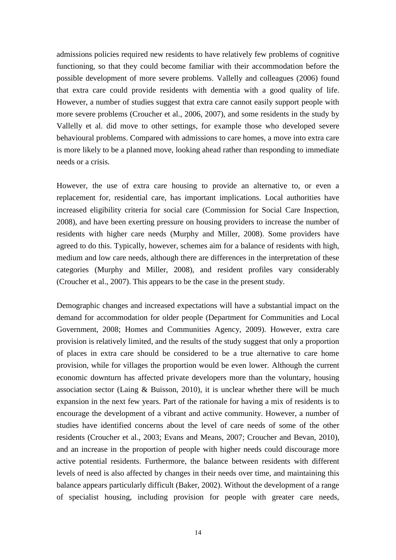admissions policies required new residents to have relatively few problems of cognitive functioning, so that they could become familiar with their accommodation before the possible development of more severe problems. Vallelly and colleagues (2006) found that extra care could provide residents with dementia with a good quality of life. However, a number of studies suggest that extra care cannot easily support people with more severe problems (Croucher et al., 2006, 2007), and some residents in the study by Vallelly et al. did move to other settings, for example those who developed severe behavioural problems. Compared with admissions to care homes, a move into extra care is more likely to be a planned move, looking ahead rather than responding to immediate needs or a crisis.

However, the use of extra care housing to provide an alternative to, or even a replacement for, residential care, has important implications. Local authorities have increased eligibility criteria for social care (Commission for Social Care Inspection, 2008), and have been exerting pressure on housing providers to increase the number of residents with higher care needs (Murphy and Miller, 2008). Some providers have agreed to do this. Typically, however, schemes aim for a balance of residents with high, medium and low care needs, although there are differences in the interpretation of these categories (Murphy and Miller, 2008), and resident profiles vary considerably (Croucher et al., 2007). This appears to be the case in the present study.

Demographic changes and increased expectations will have a substantial impact on the demand for accommodation for older people (Department for Communities and Local Government, 2008; Homes and Communities Agency, 2009). However, extra care provision is relatively limited, and the results of the study suggest that only a proportion of places in extra care should be considered to be a true alternative to care home provision, while for villages the proportion would be even lower. Although the current economic downturn has affected private developers more than the voluntary, housing association sector (Laing  $\&$  Buisson, 2010), it is unclear whether there will be much expansion in the next few years. Part of the rationale for having a mix of residents is to encourage the development of a vibrant and active community. However, a number of studies have identified concerns about the level of care needs of some of the other residents (Croucher et al., 2003; Evans and Means, 2007; Croucher and Bevan, 2010), and an increase in the proportion of people with higher needs could discourage more active potential residents. Furthermore, the balance between residents with different levels of need is also affected by changes in their needs over time, and maintaining this balance appears particularly difficult (Baker, 2002). Without the development of a range of specialist housing, including provision for people with greater care needs,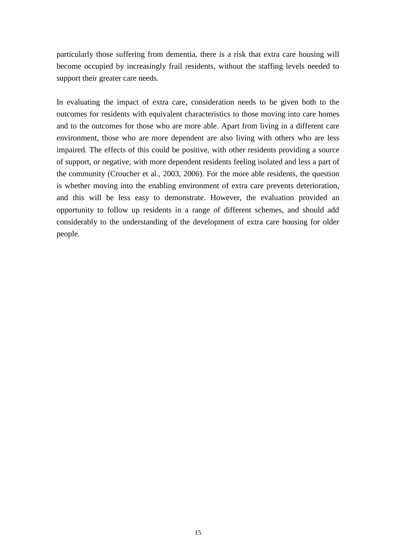particularly those suffering from dementia, there is a risk that extra care housing will become occupied by increasingly frail residents, without the staffing levels needed to support their greater care needs.

In evaluating the impact of extra care, consideration needs to be given both to the outcomes for residents with equivalent characteristics to those moving into care homes and to the outcomes for those who are more able. Apart from living in a different care environment, those who are more dependent are also living with others who are less impaired. The effects of this could be positive, with other residents providing a source of support, or negative, with more dependent residents feeling isolated and less a part of the community (Croucher et al., 2003, 2006). For the more able residents, the question is whether moving into the enabling environment of extra care prevents deterioration, and this will be less easy to demonstrate. However, the evaluation provided an opportunity to follow up residents in a range of different schemes, and should add considerably to the understanding of the development of extra care housing for older people.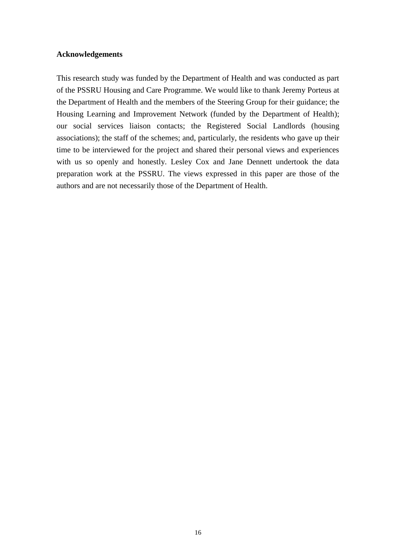#### **Acknowledgements**

This research study was funded by the Department of Health and was conducted as part of the PSSRU Housing and Care Programme. We would like to thank Jeremy Porteus at the Department of Health and the members of the Steering Group for their guidance; the Housing Learning and Improvement Network (funded by the Department of Health); our social services liaison contacts; the Registered Social Landlords (housing associations); the staff of the schemes; and, particularly, the residents who gave up their time to be interviewed for the project and shared their personal views and experiences with us so openly and honestly. Lesley Cox and Jane Dennett undertook the data preparation work at the PSSRU. The views expressed in this paper are those of the authors and are not necessarily those of the Department of Health.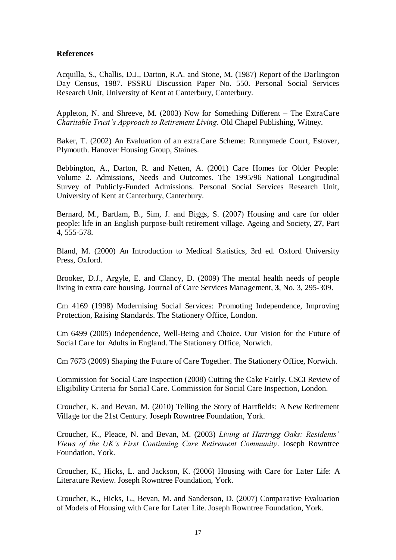#### **References**

Acquilla, S., Challis, D.J., Darton, R.A. and Stone, M. (1987) Report of the Darlington Day Census, 1987. PSSRU Discussion Paper No. 550. Personal Social Services Research Unit, University of Kent at Canterbury, Canterbury.

Appleton, N. and Shreeve, M. (2003) Now for Something Different *–* The ExtraCare *Charitable Trust's Approach to Retirement Living*. Old Chapel Publishing, Witney.

Baker, T. (2002) An Evaluation of an extraCare Scheme: Runnymede Court, Estover, Plymouth. Hanover Housing Group, Staines.

Bebbington, A., Darton, R. and Netten, A. (2001) Care Homes for Older People: Volume 2. Admissions, Needs and Outcomes. The 1995/96 National Longitudinal Survey of Publicly-Funded Admissions. Personal Social Services Research Unit, University of Kent at Canterbury, Canterbury.

Bernard, M., Bartlam, B., Sim, J. and Biggs, S. (2007) Housing and care for older people: life in an English purpose-built retirement village. Ageing and Society, **27**, Part 4, 555-578.

Bland, M. (2000) An Introduction to Medical Statistics, 3rd ed. Oxford University Press, Oxford.

Brooker, D.J., Argyle, E. and Clancy, D. (2009) The mental health needs of people living in extra care housing. Journal of Care Services Management, **3**, No. 3, 295-309.

Cm 4169 (1998) Modernising Social Services: Promoting Independence, Improving Protection, Raising Standards. The Stationery Office, London.

Cm 6499 (2005) Independence, Well-Being and Choice. Our Vision for the Future of Social Care for Adults in England. The Stationery Office, Norwich.

Cm 7673 (2009) Shaping the Future of Care Together. The Stationery Office, Norwich.

Commission for Social Care Inspection (2008) Cutting the Cake Fairly. CSCI Review of Eligibility Criteria for Social Care. Commission for Social Care Inspection, London.

Croucher, K. and Bevan, M. (2010) Telling the Story of Hartfields: A New Retirement Village for the 21st Century. Joseph Rowntree Foundation, York.

Croucher, K., Pleace, N. and Bevan, M. (2003) *Living at Hartrigg Oaks: Residents' Views of the UK's First Continuing Care Retirement Community*. Joseph Rowntree Foundation, York.

Croucher, K., Hicks, L. and Jackson, K. (2006) Housing with Care for Later Life: A Literature Review. Joseph Rowntree Foundation, York.

Croucher, K., Hicks, L., Bevan, M. and Sanderson, D. (2007) Comparative Evaluation of Models of Housing with Care for Later Life. Joseph Rowntree Foundation, York.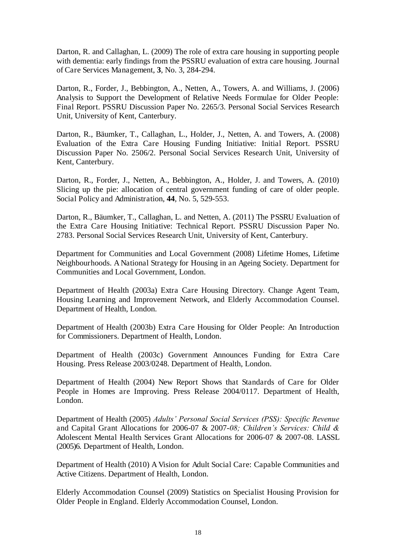Darton, R. and Callaghan, L. (2009) The role of extra care housing in supporting people with dementia: early findings from the PSSRU evaluation of extra care housing. Journal of Care Services Management, **3**, No. 3, 284-294.

Darton, R., Forder, J., Bebbington, A., Netten, A., Towers, A. and Williams, J. (2006) Analysis to Support the Development of Relative Needs Formulae for Older People: Final Report. PSSRU Discussion Paper No. 2265/3. Personal Social Services Research Unit, University of Kent, Canterbury.

Darton, R., Bäumker, T., Callaghan, L., Holder, J., Netten, A. and Towers, A. (2008) Evaluation of the Extra Care Housing Funding Initiative: Initial Report. PSSRU Discussion Paper No. 2506/2. Personal Social Services Research Unit, University of Kent, Canterbury.

Darton, R., Forder, J., Netten, A., Bebbington, A., Holder, J. and Towers, A. (2010) Slicing up the pie: allocation of central government funding of care of older people. Social Policy and Administration, **44**, No. 5, 529-553.

Darton, R., Bäumker, T., Callaghan, L. and Netten, A. (2011) The PSSRU Evaluation of the Extra Care Housing Initiative: Technical Report. PSSRU Discussion Paper No. 2783. Personal Social Services Research Unit, University of Kent, Canterbury.

Department for Communities and Local Government (2008) Lifetime Homes, Lifetime Neighbourhoods. A National Strategy for Housing in an Ageing Society. Department for Communities and Local Government, London.

Department of Health (2003a) Extra Care Housing Directory. Change Agent Team, Housing Learning and Improvement Network, and Elderly Accommodation Counsel. Department of Health, London.

Department of Health (2003b) Extra Care Housing for Older People: An Introduction for Commissioners. Department of Health, London.

Department of Health (2003c) Government Announces Funding for Extra Care Housing. Press Release 2003/0248. Department of Health, London.

Department of Health (2004) New Report Shows that Standards of Care for Older People in Homes are Improving. Press Release 2004/0117. Department of Health, London.

Department of Health (2005) *Adults' Personal Social Services (PSS): Specific Revenue*  and Capital Grant Allocations for 2006-07 & 2007-*08; Children's Services: Child &*  Adolescent Mental Health Services Grant Allocations for 2006-07 & 2007-08. LASSL (2005)6. Department of Health, London.

Department of Health (2010) A Vision for Adult Social Care: Capable Communities and Active Citizens. Department of Health, London.

Elderly Accommodation Counsel (2009) Statistics on Specialist Housing Provision for Older People in England. Elderly Accommodation Counsel, London.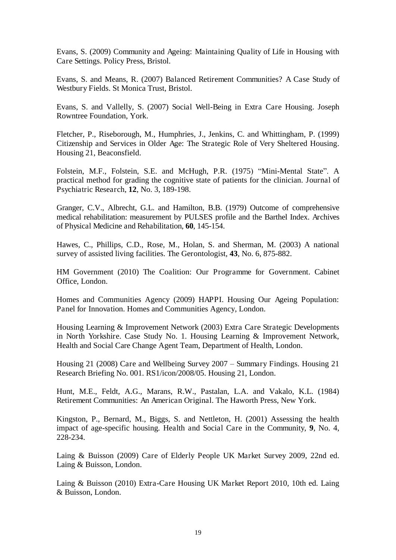Evans, S. (2009) Community and Ageing: Maintaining Quality of Life in Housing with Care Settings. Policy Press, Bristol.

Evans, S. and Means, R. (2007) Balanced Retirement Communities? A Case Study of Westbury Fields. St Monica Trust, Bristol.

Evans, S. and Vallelly, S. (2007) Social Well-Being in Extra Care Housing. Joseph Rowntree Foundation, York.

Fletcher, P., Riseborough, M., Humphries, J., Jenkins, C. and Whittingham, P. (1999) Citizenship and Services in Older Age: The Strategic Role of Very Sheltered Housing. Housing 21, Beaconsfield.

Folstein, M.F., Folstein, S.E. and McHugh, P.R. (1975) "Mini-Mental State". A practical method for grading the cognitive state of patients for the clinician. Journal of Psychiatric Research, **12**, No. 3, 189-198.

Granger, C.V., Albrecht, G.L. and Hamilton, B.B. (1979) Outcome of comprehensive medical rehabilitation: measurement by PULSES profile and the Barthel Index. Archives of Physical Medicine and Rehabilitation, **60**, 145-154.

Hawes, C., Phillips, C.D., Rose, M., Holan, S. and Sherman, M. (2003) A national survey of assisted living facilities. The Gerontologist, **43**, No. 6, 875-882.

HM Government (2010) The Coalition: Our Programme for Government. Cabinet Office, London.

Homes and Communities Agency (2009) HAPPI. Housing Our Ageing Population: Panel for Innovation. Homes and Communities Agency, London.

Housing Learning & Improvement Network (2003) Extra Care Strategic Developments in North Yorkshire. Case Study No. 1. Housing Learning & Improvement Network, Health and Social Care Change Agent Team, Department of Health, London.

Housing 21 (2008) Care and Wellbeing Survey 2007 *–* Summary Findings. Housing 21 Research Briefing No. 001. RS1/icon/2008/05. Housing 21, London.

Hunt, M.E., Feldt, A.G., Marans, R.W., Pastalan, L.A. and Vakalo, K.L. (1984) Retirement Communities: An American Original. The Haworth Press, New York.

Kingston, P., Bernard, M., Biggs, S. and Nettleton, H. (2001) Assessing the health impact of age-specific housing. Health and Social Care in the Community, **9**, No. 4, 228-234.

Laing & Buisson (2009) Care of Elderly People UK Market Survey 2009, 22nd ed. Laing & Buisson, London.

Laing & Buisson (2010) Extra-Care Housing UK Market Report 2010, 10th ed. Laing & Buisson, London.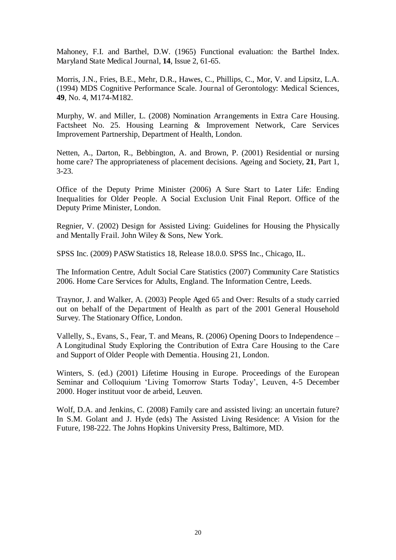Mahoney, F.I. and Barthel, D.W. (1965) Functional evaluation: the Barthel Index. Maryland State Medical Journal, **14**, Issue 2, 61-65.

Morris, J.N., Fries, B.E., Mehr, D.R., Hawes, C., Phillips, C., Mor, V. and Lipsitz, L.A. (1994) MDS Cognitive Performance Scale. Journal of Gerontology: Medical Sciences, **49**, No. 4, M174-M182.

Murphy, W. and Miller, L. (2008) Nomination Arrangements in Extra Care Housing. Factsheet No. 25. Housing Learning & Improvement Network, Care Services Improvement Partnership, Department of Health, London.

Netten, A., Darton, R., Bebbington, A. and Brown, P. (2001) Residential or nursing home care? The appropriateness of placement decisions. Ageing and Society, **21**, Part 1, 3-23.

Office of the Deputy Prime Minister (2006) A Sure Start to Later Life: Ending Inequalities for Older People. A Social Exclusion Unit Final Report. Office of the Deputy Prime Minister, London.

Regnier, V. (2002) Design for Assisted Living: Guidelines for Housing the Physically and Mentally Frail. John Wiley & Sons, New York.

SPSS Inc. (2009) PASW Statistics 18, Release 18.0.0. SPSS Inc., Chicago, IL.

The Information Centre, Adult Social Care Statistics (2007) Community Care Statistics 2006. Home Care Services for Adults, England. The Information Centre, Leeds.

Traynor, J. and Walker, A. (2003) People Aged 65 and Over: Results of a study carried out on behalf of the Department of Health as part of the 2001 General Household Survey. The Stationary Office, London.

Vallelly, S., Evans, S., Fear, T. and Means, R. (2006) Opening Doors to Independence *–* A Longitudinal Study Exploring the Contribution of Extra Care Housing to the Care and Support of Older People with Dementia. Housing 21, London.

Winters, S. (ed.) (2001) Lifetime Housing in Europe. Proceedings of the European Seminar and Colloquium 'Living Tomorrow Starts Today', Leuven, 4-5 December 2000. Hoger instituut voor de arbeid, Leuven.

Wolf, D.A. and Jenkins, C. (2008) Family care and assisted living: an uncertain future? In S.M. Golant and J. Hyde (eds) The Assisted Living Residence: A Vision for the Future, 198-222. The Johns Hopkins University Press, Baltimore, MD.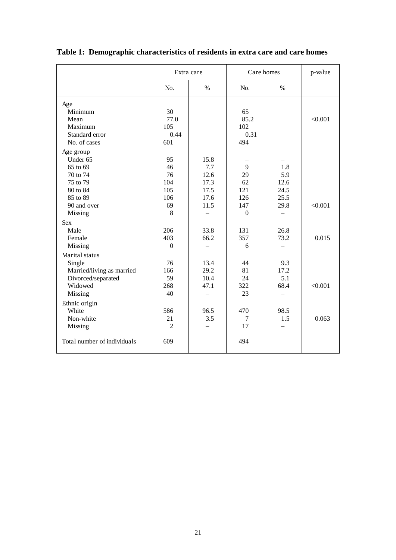|                                                                                                                                                                                    | Extra care                                                                     |                                                                     | Care homes                                                              |                                                            | p-value          |
|------------------------------------------------------------------------------------------------------------------------------------------------------------------------------------|--------------------------------------------------------------------------------|---------------------------------------------------------------------|-------------------------------------------------------------------------|------------------------------------------------------------|------------------|
|                                                                                                                                                                                    | N <sub>0</sub>                                                                 | $\%$                                                                | No.                                                                     | $\%$                                                       |                  |
| Age<br>Minimum<br>Mean<br>Maximum<br>Standard error<br>No. of cases                                                                                                                | 30<br>77.0<br>105<br>0.44<br>601                                               |                                                                     | 65<br>85.2<br>102<br>0.31<br>494                                        |                                                            | < 0.001          |
| Age group<br>Under 65<br>65 to 69<br>70 to 74<br>75 to 79<br>80 to 84<br>85 to 89<br>90 and over<br>Missing<br><b>Sex</b><br>Male<br>Female<br>Missing                             | 95<br>46<br>76<br>104<br>105<br>106<br>69<br>8<br>206<br>403<br>$\overline{0}$ | 15.8<br>7.7<br>12.6<br>17.3<br>17.5<br>17.6<br>11.5<br>33.8<br>66.2 | 9<br>29<br>62<br>121<br>126<br>147<br>$\overline{0}$<br>131<br>357<br>6 | 1.8<br>5.9<br>12.6<br>24.5<br>25.5<br>29.8<br>26.8<br>73.2 | < 0.001<br>0.015 |
| Marital status<br>Single<br>Married/living as married<br>Divorced/separated<br>Widowed<br>Missing<br>Ethnic origin<br>White<br>Non-white<br>Missing<br>Total number of individuals | 76<br>166<br>59<br>268<br>40<br>586<br>21<br>$\overline{2}$<br>609             | 13.4<br>29.2<br>10.4<br>47.1<br>96.5<br>3.5                         | 44<br>81<br>24<br>322<br>23<br>470<br>7<br>17<br>494                    | 9.3<br>17.2<br>5.1<br>68.4<br>98.5<br>1.5                  | < 0.001<br>0.063 |

**Table 1: Demographic characteristics of residents in extra care and care homes**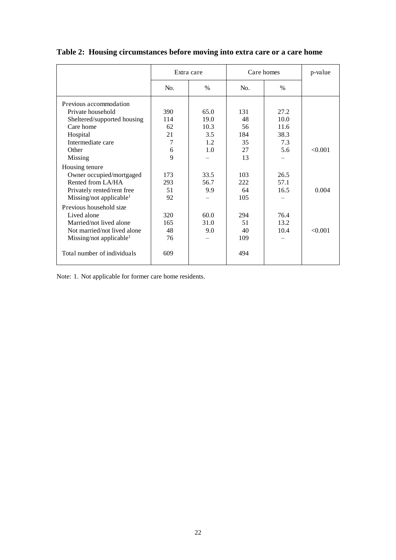|                                     | Extra care |               | Care homes |               | p-value |
|-------------------------------------|------------|---------------|------------|---------------|---------|
|                                     | No.        | $\frac{0}{0}$ | No.        | $\frac{0}{0}$ |         |
| Previous accommodation              |            |               |            |               |         |
| Private household                   | 390        | 65.0          | 131        | 27.2          |         |
| Sheltered/supported housing         | 114        | 19.0          | 48         | 10.0          |         |
| Care home                           | 62         | 10.3          | 56         | 11.6          |         |
| Hospital                            | 21         | 3.5           | 184        | 38.3          |         |
| Intermediate care                   | 7          | 1.2           | 35         | 7.3           |         |
| Other                               | 6          | 1.0           | 27         | 5.6           | < 0.001 |
| Missing                             | 9          |               | 13         |               |         |
| Housing tenure                      |            |               |            |               |         |
| Owner occupied/mortgaged            | 173        | 33.5          | 103        | 26.5          |         |
| Rented from LA/HA                   | 293        | 56.7          | 222        | 57.1          |         |
| Privately rented/rent free          | 51         | 9.9           | 64         | 16.5          | 0.004   |
| Missing/not applicable <sup>1</sup> | 92         |               | 105        |               |         |
| Previous household size             |            |               |            |               |         |
| Lived alone                         | 320        | 60.0          | 294        | 76.4          |         |
| Married/not lived alone             | 165        | 31.0          | 51         | 13.2          |         |
| Not married/not lived alone         | 48         | 9.0           | 40         | 10.4          | < 0.001 |
| Missing/not applicable <sup>1</sup> | 76         |               | 109        |               |         |
| Total number of individuals         | 609        |               | 494        |               |         |

### **Table 2: Housing circumstances before moving into extra care or a care home**

Note: 1. Not applicable for former care home residents.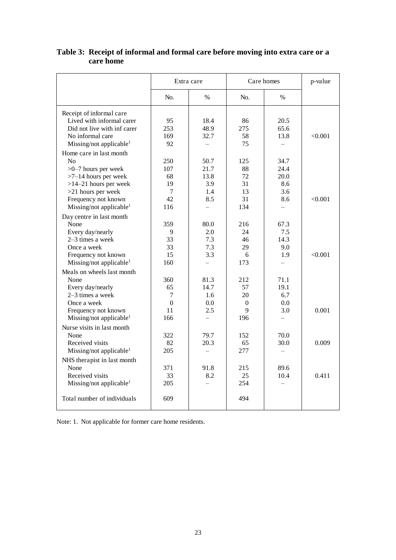|                                     | Extra care     |                          | Care homes |          | p-value |
|-------------------------------------|----------------|--------------------------|------------|----------|---------|
|                                     | N <sub>0</sub> | $\frac{0}{0}$            | No.        | $\%$     |         |
| Receipt of informal care            |                |                          |            |          |         |
| Lived with informal carer           | 95             | 18.4                     | 86         | 20.5     |         |
| Did not live with inf carer         | 253            | 48.9                     | 275        | 65.6     |         |
| No informal care                    | 169            | 32.7                     | 58         | 13.8     | < 0.001 |
| Missing/not applicable <sup>1</sup> | 92             |                          | 75         |          |         |
| Home care in last month             |                |                          |            |          |         |
| No                                  | 250            | 50.7                     | 125        | 34.7     |         |
| $>0-7$ hours per week               | 107            | 21.7                     | 88         | 24.4     |         |
| $>7-14$ hours per week              | 68             | 13.8                     | 72         | 20.0     |         |
| $>14-21$ hours per week             | 19             | 3.9                      | 31         | 8.6      |         |
| $>21$ hours per week                | $\overline{7}$ | 1.4                      | 13         | 3.6      |         |
| Frequency not known                 | 42             | 8.5                      | 31         | 8.6      | < 0.001 |
| Missing/not applicable <sup>1</sup> | 116            |                          | 134        |          |         |
| Day centre in last month            |                |                          |            |          |         |
| None                                | 359            | 80.0                     | 216        | 67.3     |         |
| Every day/nearly                    | 9              | 2.0                      | 24         | 7.5      |         |
| 2-3 times a week                    | 33             | 7.3                      | 46         | 14.3     |         |
| Once a week                         | 33             | 7.3                      | 29         | 9.0      |         |
| Frequency not known                 | 15             | 3.3                      | 6          | 1.9      | < 0.001 |
| Missing/not applicable <sup>1</sup> | 160            |                          | 173        | $\equiv$ |         |
| Meals on wheels last month          |                |                          |            |          |         |
| None                                | 360            | 81.3                     | 212        | 71.1     |         |
| Every day/nearly                    | 65             | 14.7                     | 57         | 19.1     |         |
| $2-3$ times a week                  | 7              | 1.6                      | 20         | 6.7      |         |
| Once a week                         | $\mathbf{0}$   | 0.0                      | $\theta$   | 0.0      |         |
| Frequency not known                 | 11             | 2.5                      | 9          | 3.0      | 0.001   |
| Missing/not applicable <sup>1</sup> | 166            |                          | 196        |          |         |
| Nurse visits in last month          |                |                          |            |          |         |
| None                                |                | 79.7                     | 152        | 70.0     |         |
| Received visits                     | 322<br>82      | 20.3                     | 65         | 30.0     | 0.009   |
| Missing/not applicable <sup>1</sup> | 205            | $\overline{\phantom{0}}$ | 277        | $\equiv$ |         |
|                                     |                |                          |            |          |         |
| NHS therapist in last month         |                |                          |            |          |         |
| None                                | 371            | 91.8                     | 215        | 89.6     |         |
| Received visits                     | 33             | 8.2                      | 25         | 10.4     | 0.411   |
| Missing/not applicable <sup>1</sup> | 205            |                          | 254        |          |         |
| Total number of individuals         | 609            |                          | 494        |          |         |

#### **Table 3: Receipt of informal and formal care before moving into extra care or a care home**

Note: 1. Not applicable for former care home residents.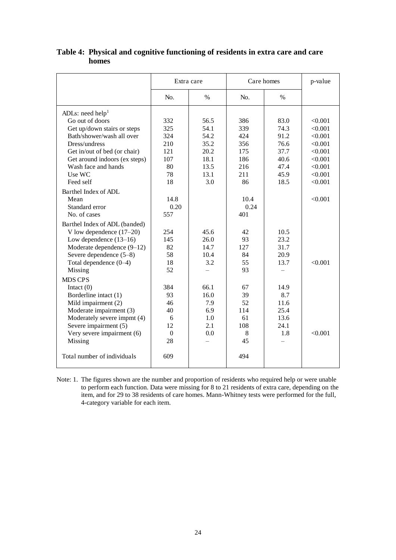|                               | Extra care     |               | Care homes |      | p-value |
|-------------------------------|----------------|---------------|------------|------|---------|
|                               | N <sub>0</sub> | $\frac{0}{0}$ | No.        | $\%$ |         |
| ADLs: need help <sup>1</sup>  |                |               |            |      |         |
| Go out of doors               | 332            | 56.5          | 386        | 83.0 | < 0.001 |
| Get up/down stairs or steps   | 325            | 54.1          | 339        | 74.3 | < 0.001 |
| Bath/shower/wash all over     | 324            | 54.2          | 424        | 91.2 | < 0.001 |
| Dress/undress                 | 210            | 35.2          | 356        | 76.6 | < 0.001 |
| Get in/out of bed (or chair)  | 121            | 20.2          | 175        | 37.7 | < 0.001 |
| Get around indoors (ex steps) | 107            | 18.1          | 186        | 40.6 | < 0.001 |
| Wash face and hands           | 80             | 13.5          | 216        | 47.4 | < 0.001 |
| Use WC                        | 78             | 13.1          | 211        | 45.9 | < 0.001 |
| Feed self                     | 18             | 3.0           | 86         | 18.5 | < 0.001 |
| Barthel Index of ADL          |                |               |            |      |         |
| Mean                          | 14.8           |               | 10.4       |      | < 0.001 |
| Standard error                | 0.20           |               | 0.24       |      |         |
| No. of cases                  | 557            |               | 401        |      |         |
| Barthel Index of ADL (banded) |                |               |            |      |         |
| V low dependence $(17-20)$    | 254            | 45.6          | 42         | 10.5 |         |
| Low dependence $(13-16)$      | 145            | 26.0          | 93         | 23.2 |         |
| Moderate dependence $(9-12)$  | 82             | 14.7          | 127        | 31.7 |         |
| Severe dependence (5-8)       | 58             | 10.4          | 84         | 20.9 |         |
| Total dependence (0-4)        | 18             | 3.2           | 55         | 13.7 | < 0.001 |
| Missing                       | 52             |               | 93         |      |         |
| <b>MDS CPS</b>                |                |               |            |      |         |
| Intact $(0)$                  | 384            | 66.1          | 67         | 14.9 |         |
| Borderline intact (1)         | 93             | 16.0          | 39         | 8.7  |         |
| Mild impairment (2)           | 46             | 7.9           | 52         | 11.6 |         |
| Moderate impairment (3)       | 40             | 6.9           | 114        | 25.4 |         |
| Moderately severe impmt (4)   | 6              | 1.0           | 61         | 13.6 |         |
| Severe impairment (5)         | 12             | 2.1           | 108        | 24.1 |         |
| Very severe impairment (6)    | $\Omega$       | 0.0           | 8          | 1.8  | < 0.001 |
| Missing                       | 28             |               | 45         |      |         |
| Total number of individuals   | 609            |               | 494        |      |         |

**Table 4: Physical and cognitive functioning of residents in extra care and care homes** 

Note: 1. The figures shown are the number and proportion of residents who required help or were unable to perform each function. Data were missing for 8 to 21 residents of extra care, depending on the item, and for 29 to 38 residents of care homes. Mann-Whitney tests were performed for the full, 4-category variable for each item.